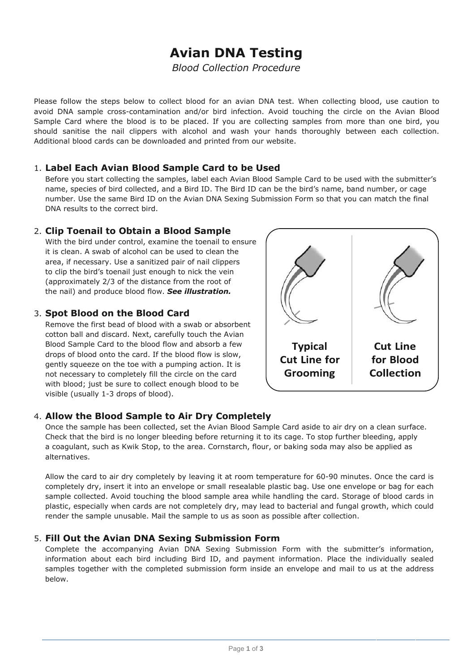# **Avian DNA Testing**

*Blood Collection Procedure*

Please follow the steps below to collect blood for an avian DNA test. When collecting blood, use caution to avoid DNA sample cross-contamination and/or bird infection. Avoid touching the circle on the Avian Blood Sample Card where the blood is to be placed. If you are collecting samples from more than one bird, you should sanitise the nail clippers with alcohol and wash your hands thoroughly between each collection. Additional blood cards can be downloaded and printed from our website.

#### 1. **Label Each Avian Blood Sample Card to be Used**

Before you start collecting the samples, label each Avian Blood Sample Card to be used with the submitter's name, species of bird collected, and a Bird ID. The Bird ID can be the bird's name, band number, or cage number. Use the same Bird ID on the Avian DNA Sexing Submission Form so that you can match the final DNA results to the correct bird.

### 2. **Clip Toenail to Obtain a Blood Sample**

With the bird under control, examine the toenail to ensure it is clean. A swab of alcohol can be used to clean the area, if necessary. Use a sanitized pair of nail clippers to clip the bird's toenail just enough to nick the vein (approximately 2/3 of the distance from the root of the nail) and produce blood flow. *See illustration.*

### 3. **Spot Blood on the Blood Card**

Remove the first bead of blood with a swab or absorbent cotton ball and discard. Next, carefully touch the Avian Blood Sample Card to the blood flow and absorb a few drops of blood onto the card. If the blood flow is slow, gently squeeze on the toe with a pumping action. It is not necessary to completely fill the circle on the card with blood; just be sure to collect enough blood to be visible (usually 1-3 drops of blood).



## 4. **Allow the Blood Sample to Air Dry Completely**

Once the sample has been collected, set the Avian Blood Sample Card aside to air dry on a clean surface. Check that the bird is no longer bleeding before returning it to its cage. To stop further bleeding, apply a coagulant, such as Kwik Stop, to the area. Cornstarch, flour, or baking soda may also be applied as alternatives.

Allow the card to air dry completely by leaving it at room temperature for 60-90 minutes. Once the card is completely dry, insert it into an envelope or small resealable plastic bag. Use one envelope or bag for each sample collected. Avoid touching the blood sample area while handling the card. Storage of blood cards in plastic, especially when cards are not completely dry, may lead to bacterial and fungal growth, which could render the sample unusable. Mail the sample to us as soon as possible after collection.

### 5. **Fill Out the Avian DNA Sexing Submission Form**

Complete the accompanying Avian DNA Sexing Submission Form with the submitter's information, information about each bird including Bird ID, and payment information. Place the individually sealed samples together with the completed submission form inside an envelope and mail to us at the address below.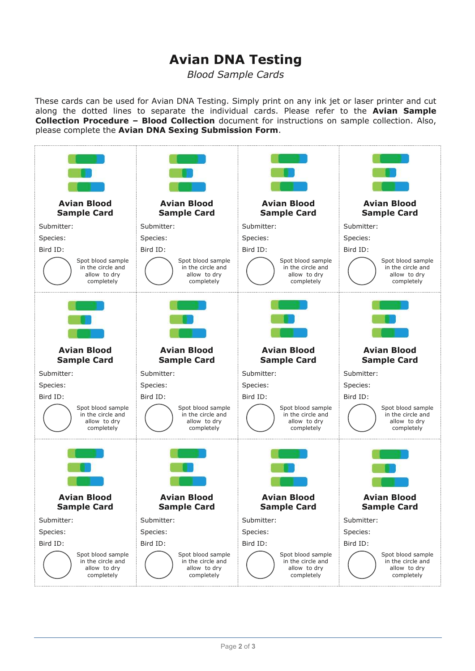# **Avian DNA Testing**

*Blood Sample Cards* 

These cards can be used for Avian DNA Testing. Simply print on any ink jet or laser printer and cut along the dotted lines to separate the individual cards. Please refer to the **Avian Sample Collection Procedure – Blood Collection** document for instructions on sample collection. Also, please complete the **Avian DNA Sexing Submission Form**.